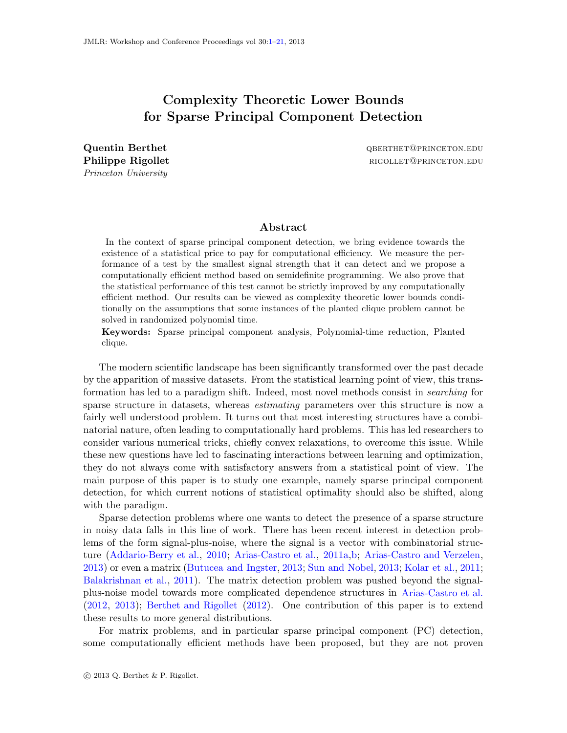# <span id="page-0-0"></span>Complexity Theoretic Lower Bounds for Sparse Principal Component Detection

Princeton University

Quentin Berthet and the contraction of the contraction of the quenting quenting  $\alpha$  and  $\alpha$ Philippe Rigollet **rigollet** rigorian rigorian rigorian rigorian rigorian rigorian rigorian rigorian rigorian rigorian rigorian rigorian rigorian rigorian rigorian rigorian rigorian rigorian rigorian rigorian rigorian rigo

## Abstract

In the context of sparse principal component detection, we bring evidence towards the existence of a statistical price to pay for computational efficiency. We measure the performance of a test by the smallest signal strength that it can detect and we propose a computationally efficient method based on semidefinite programming. We also prove that the statistical performance of this test cannot be strictly improved by any computationally efficient method. Our results can be viewed as complexity theoretic lower bounds conditionally on the assumptions that some instances of the planted clique problem cannot be solved in randomized polynomial time.

Keywords: Sparse principal component analysis, Polynomial-time reduction, Planted clique.

The modern scientific landscape has been significantly transformed over the past decade by the apparition of massive datasets. From the statistical learning point of view, this transformation has led to a paradigm shift. Indeed, most novel methods consist in searching for sparse structure in datasets, whereas *estimating* parameters over this structure is now a fairly well understood problem. It turns out that most interesting structures have a combinatorial nature, often leading to computationally hard problems. This has led researchers to consider various numerical tricks, chiefly convex relaxations, to overcome this issue. While these new questions have led to fascinating interactions between learning and optimization, they do not always come with satisfactory answers from a statistical point of view. The main purpose of this paper is to study one example, namely sparse principal component detection, for which current notions of statistical optimality should also be shifted, along with the paradigm.

Sparse detection problems where one wants to detect the presence of a sparse structure in noisy data falls in this line of work. There has been recent interest in detection problems of the form signal-plus-noise, where the signal is a vector with combinatorial structure [\(Addario-Berry et al.](#page-12-0), [2010](#page-12-0); [Arias-Castro et al.](#page-12-1), [2011a](#page-12-1)[,b;](#page-12-2) [Arias-Castro and Verzelen](#page-12-3), [2013\)](#page-12-3) or even a matrix [\(Butucea and Ingster](#page-13-0), [2013;](#page-13-0) [Sun and Nobel](#page-15-0), [2013](#page-15-0); [Kolar et al.](#page-14-0), [2011](#page-14-0); [Balakrishnan et al.](#page-13-1), [2011](#page-13-1)). The matrix detection problem was pushed beyond the signalplus-noise model towards more complicated dependence structures in [Arias-Castro et al.](#page-12-4) [\(2012](#page-12-4), [2013](#page-12-5)); [Berthet and Rigollet](#page-13-2) [\(2012](#page-13-2)). One contribution of this paper is to extend these results to more general distributions.

For matrix problems, and in particular sparse principal component (PC) detection, some computationally efficient methods have been proposed, but they are not proven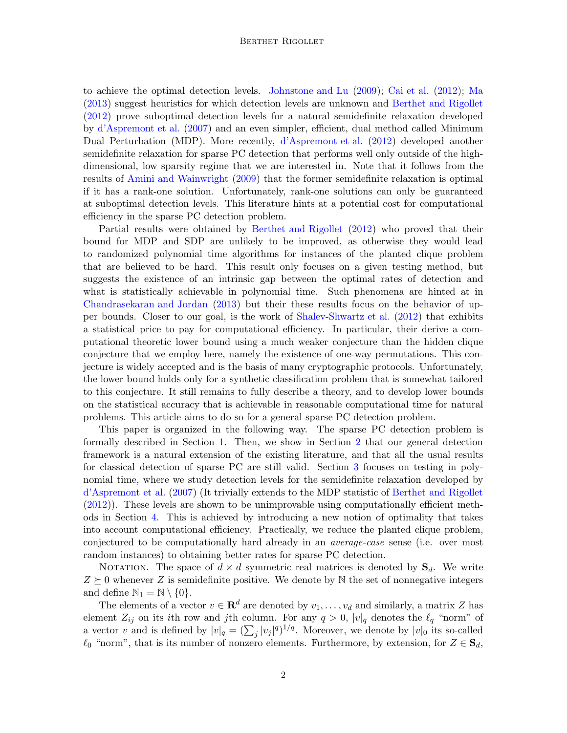to achieve the optimal detection levels. [Johnstone and Lu](#page-14-1) [\(2009](#page-14-1)); [Cai et al.](#page-13-3) [\(2012](#page-13-3)); [Ma](#page-14-2) [\(2013](#page-14-2)) suggest heuristics for which detection levels are unknown and [Berthet and Rigollet](#page-13-2) [\(2012](#page-13-2)) prove suboptimal detection levels for a natural semidefinite relaxation developed by [d'Aspremont et al.](#page-13-4) [\(2007](#page-13-4)) and an even simpler, efficient, dual method called Minimum Dual Perturbation (MDP). More recently, [d'Aspremont et al.](#page-13-5) [\(2012](#page-13-5)) developed another semidefinite relaxation for sparse PC detection that performs well only outside of the highdimensional, low sparsity regime that we are interested in. Note that it follows from the results of [Amini and Wainwright](#page-12-6) [\(2009\)](#page-12-6) that the former semidefinite relaxation is optimal if it has a rank-one solution. Unfortunately, rank-one solutions can only be guaranteed at suboptimal detection levels. This literature hints at a potential cost for computational efficiency in the sparse PC detection problem.

Partial results were obtained by [Berthet and Rigollet](#page-13-2) [\(2012](#page-13-2)) who proved that their bound for MDP and SDP are unlikely to be improved, as otherwise they would lead to randomized polynomial time algorithms for instances of the planted clique problem that are believed to be hard. This result only focuses on a given testing method, but suggests the existence of an intrinsic gap between the optimal rates of detection and what is statistically achievable in polynomial time. Such phenomena are hinted at in [Chandrasekaran and Jordan](#page-13-6) [\(2013](#page-13-6)) but their these results focus on the behavior of upper bounds. Closer to our goal, is the work of [Shalev-Shwartz et al.](#page-15-1) [\(2012\)](#page-15-1) that exhibits a statistical price to pay for computational efficiency. In particular, their derive a computational theoretic lower bound using a much weaker conjecture than the hidden clique conjecture that we employ here, namely the existence of one-way permutations. This conjecture is widely accepted and is the basis of many cryptographic protocols. Unfortunately, the lower bound holds only for a synthetic classification problem that is somewhat tailored to this conjecture. It still remains to fully describe a theory, and to develop lower bounds on the statistical accuracy that is achievable in reasonable computational time for natural problems. This article aims to do so for a general sparse PC detection problem.

This paper is organized in the following way. The sparse PC detection problem is formally described in Section [1.](#page-2-0) Then, we show in Section [2](#page-4-0) that our general detection framework is a natural extension of the existing literature, and that all the usual results for classical detection of sparse PC are still valid. Section [3](#page-5-0) focuses on testing in polynomial time, where we study detection levels for the semidefinite relaxation developed by [d'Aspremont et al.](#page-13-4) [\(2007](#page-13-4)) (It trivially extends to the MDP statistic of [Berthet and Rigollet](#page-13-2) [\(2012](#page-13-2))). These levels are shown to be unimprovable using computationally efficient methods in Section [4.](#page-7-0) This is achieved by introducing a new notion of optimality that takes into account computational efficiency. Practically, we reduce the planted clique problem, conjectured to be computationally hard already in an average-case sense (i.e. over most random instances) to obtaining better rates for sparse PC detection.

NOTATION. The space of  $d \times d$  symmetric real matrices is denoted by  $S_d$ . We write  $Z \succeq 0$  whenever Z is semidefinite positive. We denote by N the set of nonnegative integers and define  $\mathbb{N}_1 = \mathbb{N} \setminus \{0\}.$ 

The elements of a vector  $v \in \mathbb{R}^d$  are denoted by  $v_1, \ldots, v_d$  and similarly, a matrix Z has element  $Z_{ij}$  on its ith row and jth column. For any  $q > 0$ ,  $|v|_q$  denotes the  $\ell_q$  "norm" of a vector v and is defined by  $|v|_q = (\sum_j |v_j|^q)^{1/q}$ . Moreover, we denote by  $|v|_0$  its so-called  $\ell_0$  "norm", that is its number of nonzero elements. Furthermore, by extension, for  $Z \in \mathbf{S}_d$ ,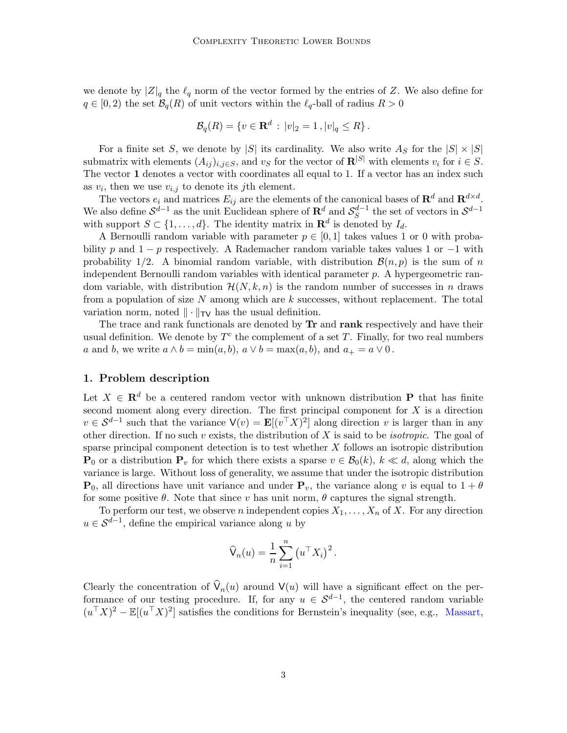we denote by  $|Z|_q$  the  $\ell_q$  norm of the vector formed by the entries of Z. We also define for  $q \in [0, 2)$  the set  $\mathcal{B}_q(R)$  of unit vectors within the  $\ell_q$ -ball of radius  $R > 0$ 

$$
\mathcal{B}_q(R) = \{ v \in \mathbf{R}^d : |v|_2 = 1, |v|_q \le R \}.
$$

For a finite set S, we denote by |S| its cardinality. We also write  $A_S$  for the  $|S| \times |S|$ submatrix with elements  $(A_{ij})_{i,j\in S}$ , and  $v_S$  for the vector of  $\mathbb{R}^{|S|}$  with elements  $v_i$  for  $i \in S$ . The vector 1 denotes a vector with coordinates all equal to 1. If a vector has an index such as  $v_i$ , then we use  $v_{i,j}$  to denote its *j*th element.

The vectors  $e_i$  and matrices  $E_{ij}$  are the elements of the canonical bases of  $\mathbf{R}^d$  and  $\mathbf{R}^{d \times d}$ . We also define  $S^{d-1}$  as the unit Euclidean sphere of  $\mathbb{R}^d$  and  $S_S^{d-1}$  the set of vectors in  $S^{d-1}$ with support  $S \subset \{1, \ldots, d\}$ . The identity matrix in  $\mathbf{R}^d$  is denoted by  $I_d$ .

A Bernoulli random variable with parameter  $p \in [0, 1]$  takes values 1 or 0 with probability p and  $1 - p$  respectively. A Rademacher random variable takes values 1 or  $-1$  with probability 1/2. A binomial random variable, with distribution  $\mathcal{B}(n, p)$  is the sum of n independent Bernoulli random variables with identical parameter  $p$ . A hypergeometric random variable, with distribution  $\mathcal{H}(N, k, n)$  is the random number of successes in n draws from a population of size  $N$  among which are  $k$  successes, without replacement. The total variation norm, noted  $\|\cdot\|_{TV}$  has the usual definition.

The trace and rank functionals are denoted by **Tr** and **rank** respectively and have their usual definition. We denote by  $T^c$  the complement of a set T. Finally, for two real numbers a and b, we write  $a \wedge b = \min(a, b)$ ,  $a \vee b = \max(a, b)$ , and  $a_+ = a \vee 0$ .

#### <span id="page-2-0"></span>1. Problem description

Let  $X \in \mathbb{R}^d$  be a centered random vector with unknown distribution P that has finite second moment along every direction. The first principal component for  $X$  is a direction  $v \in S^{d-1}$  such that the variance  $\mathsf{V}(v) = \mathbf{E}[(v^\top X)^2]$  along direction v is larger than in any other direction. If no such  $v$  exists, the distribution of  $X$  is said to be *isotropic*. The goal of sparse principal component detection is to test whether  $X$  follows an isotropic distribution  ${\bf P}_0$  or a distribution  ${\bf P}_v$  for which there exists a sparse  $v \in \mathcal{B}_0(k)$ ,  $k \ll d$ , along which the variance is large. Without loss of generality, we assume that under the isotropic distribution  $\mathbf{P}_0$ , all directions have unit variance and under  $\mathbf{P}_v$ , the variance along v is equal to  $1 + \theta$ for some positive  $\theta$ . Note that since v has unit norm,  $\theta$  captures the signal strength.

To perform our test, we observe n independent copies  $X_1, \ldots, X_n$  of X. For any direction  $u \in \mathcal{S}^{d-1}$ , define the empirical variance along u by

$$
\widehat{\mathsf{V}}_n(u) = \frac{1}{n} \sum_{i=1}^n (u^\top X_i)^2.
$$

Clearly the concentration of  $V_n(u)$  around  $V(u)$  will have a significant effect on the performance of our testing procedure. If, for any  $u \in S^{d-1}$ , the centered random variable  $(u^{\top}X)^2 - \mathbb{E}[(u^{\top}X)^2]$  satisfies the conditions for Bernstein's inequality (see, e.g., [Massart](#page-14-3),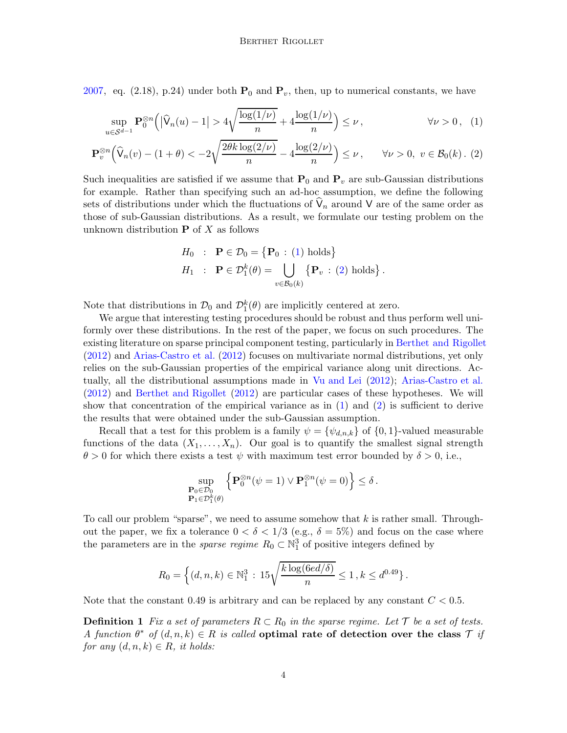[2007,](#page-14-3) eq. (2.18), p.24) under both  $P_0$  and  $P_v$ , then, up to numerical constants, we have

$$
\sup_{u\in\mathcal{S}^{d-1}} \mathbf{P}_0^{\otimes n} \Big( \big| \widehat{\mathsf{V}}_n(u) - 1 \big| > 4 \sqrt{\frac{\log(1/\nu)}{n}} + 4 \frac{\log(1/\nu)}{n} \Big) \le \nu, \qquad \forall \nu > 0, \tag{1}
$$

$$
\mathbf{P}_v^{\otimes n} \Big(\widehat{\mathsf{V}}_n(v) - (1+\theta) < -2\sqrt{\frac{2\theta k \log(2/\nu)}{n}} - 4\frac{\log(2/\nu)}{n}\Big) \le \nu \,, \qquad \forall \nu > 0, \ v \in \mathcal{B}_0(k) \,.\tag{2}
$$

Such inequalities are satisfied if we assume that  $P_0$  and  $P_v$  are sub-Gaussian distributions for example. Rather than specifying such an ad-hoc assumption, we define the following sets of distributions under which the fluctuations of  $\mathsf{V}_n$  around  $\mathsf{V}$  are of the same order as those of sub-Gaussian distributions. As a result, we formulate our testing problem on the unknown distribution  $P$  of X as follows

<span id="page-3-1"></span><span id="page-3-0"></span>
$$
H_0 : \mathbf{P} \in \mathcal{D}_0 = \{ \mathbf{P}_0 : (1) \text{ holds} \}
$$
  

$$
H_1 : \mathbf{P} \in \mathcal{D}_1^k(\theta) = \bigcup_{v \in \mathcal{B}_0(k)} \{ \mathbf{P}_v : (2) \text{ holds} \}.
$$

Note that distributions in  $\mathcal{D}_0$  and  $\mathcal{D}_1^k(\theta)$  are implicitly centered at zero.

We argue that interesting testing procedures should be robust and thus perform well uniformly over these distributions. In the rest of the paper, we focus on such procedures. The existing literature on sparse principal component testing, particularly in [Berthet and Rigollet](#page-13-2) [\(2012](#page-13-2)) and [Arias-Castro et al.](#page-12-4) [\(2012](#page-12-4)) focuses on multivariate normal distributions, yet only relies on the sub-Gaussian properties of the empirical variance along unit directions. Actually, all the distributional assumptions made in [Vu and Lei](#page-15-2) [\(2012](#page-15-2)); [Arias-Castro et al.](#page-12-4) [\(2012](#page-12-4)) and [Berthet and Rigollet](#page-13-2) [\(2012](#page-13-2)) are particular cases of these hypotheses. We will show that concentration of the empirical variance as in  $(1)$  and  $(2)$  is sufficient to derive the results that were obtained under the sub-Gaussian assumption.

Recall that a test for this problem is a family  $\psi = {\psi_{d,n,k}}$  of  ${0,1}$ -valued measurable functions of the data  $(X_1, \ldots, X_n)$ . Our goal is to quantify the smallest signal strength  $\theta > 0$  for which there exists a test  $\psi$  with maximum test error bounded by  $\delta > 0$ , i.e.,

$$
\sup_{\substack{\mathbf{P}_0 \in \mathcal{D}_0 \\ \mathbf{P}_1 \in \mathcal{D}_1^k(\theta)}} \left\{ \mathbf{P}_0^{\otimes n}(\psi = 1) \vee \mathbf{P}_1^{\otimes n}(\psi = 0) \right\} \le \delta.
$$

To call our problem "sparse", we need to assume somehow that  $k$  is rather small. Throughout the paper, we fix a tolerance  $0 < \delta < 1/3$  (e.g.,  $\delta = 5\%$ ) and focus on the case where the parameters are in the *sparse regime*  $R_0 \subset \mathbb{N}_1^3$  of positive integers defined by

$$
R_0 = \left\{ (d, n, k) \in \mathbb{N}_1^3 : 15\sqrt{\frac{k \log(6ed/\delta)}{n}} \le 1, k \le d^{0.49} \right\}.
$$

Note that the constant 0.49 is arbitrary and can be replaced by any constant  $C < 0.5$ .

**Definition 1** Fix a set of parameters  $R \subset R_0$  in the sparse regime. Let T be a set of tests. A function  $\theta^*$  of  $(d, n, k) \in R$  is called optimal rate of detection over the class  $\mathcal{T}$  if for any  $(d, n, k) \in R$ , it holds: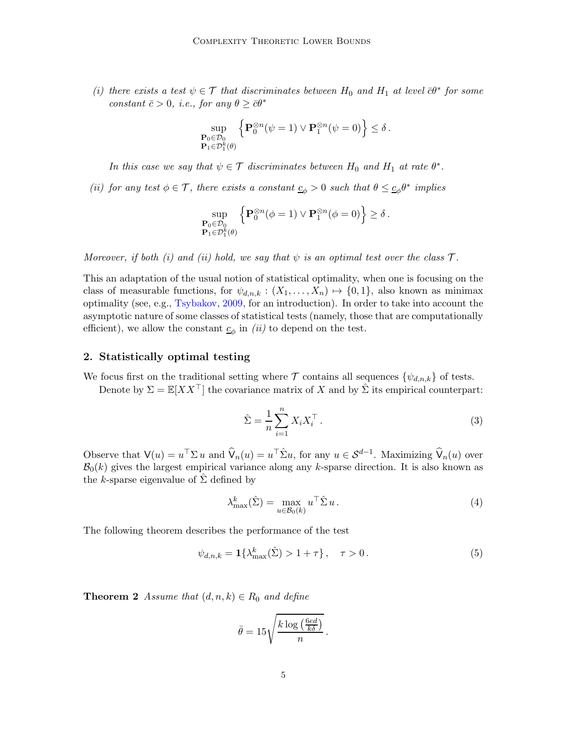(i) there exists a test  $\psi \in \mathcal{T}$  that discriminates between  $H_0$  and  $H_1$  at level  $\bar{c} \theta^*$  for some constant  $\bar{c} > 0$ , i.e., for any  $\theta \geq \bar{c}\theta^*$ 

$$
\sup_{\substack{\mathbf{P}_0 \in \mathcal{D}_0 \\ \mathbf{P}_1 \in \mathcal{D}_1^k(\theta)}} \left\{ \mathbf{P}_0^{\otimes n}(\psi = 1) \vee \mathbf{P}_1^{\otimes n}(\psi = 0) \right\} \le \delta.
$$

In this case we say that  $\psi \in \mathcal{T}$  discriminates between  $H_0$  and  $H_1$  at rate  $\theta^*$ .

(ii) for any test  $\phi \in \mathcal{T}$ , there exists a constant  $\underline{c}_{\phi} > 0$  such that  $\theta \leq \underline{c}_{\phi} \theta^*$  implies

$$
\sup_{\substack{\mathbf{P}_0 \in \mathcal{D}_0 \\ \mathbf{P}_1 \in \mathcal{D}_1^k(\theta)}} \left\{ \mathbf{P}_0^{\otimes n}(\phi = 1) \vee \mathbf{P}_1^{\otimes n}(\phi = 0) \right\} \ge \delta.
$$

Moreover, if both (i) and (ii) hold, we say that  $\psi$  is an optimal test over the class  $\mathcal{T}$ .

This an adaptation of the usual notion of statistical optimality, when one is focusing on the class of measurable functions, for  $\psi_{d,n,k} : (X_1, \ldots, X_n) \mapsto \{0, 1\}$ , also known as minimax optimality (see, e.g., [Tsybakov](#page-15-3), [2009](#page-15-3), for an introduction). In order to take into account the asymptotic nature of some classes of statistical tests (namely, those that are computationally efficient), we allow the constant  $\underline{c}_{\phi}$  in (ii) to depend on the test.

#### <span id="page-4-0"></span>2. Statistically optimal testing

We focus first on the traditional setting where  $\mathcal T$  contains all sequences  $\{\psi_{d,n,k}\}$  of tests.

Denote by  $\Sigma = \mathbb{E}[XX^\top]$  the covariance matrix of X and by  $\hat{\Sigma}$  its empirical counterpart:

$$
\hat{\Sigma} = \frac{1}{n} \sum_{i=1}^{n} X_i X_i^{\top} . \tag{3}
$$

Observe that  $\mathsf{V}(u) = u^{\top} \Sigma u$  and  $\widehat{\mathsf{V}}_n(u) = u^{\top} \widehat{\Sigma} u$ , for any  $u \in \mathcal{S}^{d-1}$ . Maximizing  $\widehat{\mathsf{V}}_n(u)$  over  $\mathcal{B}_0(k)$  gives the largest empirical variance along any k-sparse direction. It is also known as the k-sparse eigenvalue of  $\Sigma$  defined by

$$
\lambda_{\max}^k(\hat{\Sigma}) = \max_{u \in \mathcal{B}_0(k)} u^\top \hat{\Sigma} u. \tag{4}
$$

The following theorem describes the performance of the test

<span id="page-4-1"></span>
$$
\psi_{d,n,k} = \mathbf{1}\{\lambda_{\max}^k(\hat{\Sigma}) > 1 + \tau\}, \quad \tau > 0. \tag{5}
$$

<span id="page-4-2"></span>**Theorem 2** Assume that  $(d, n, k) \in R_0$  and define

$$
\bar{\theta} = 15 \sqrt{\frac{k \log \left( \frac{6ed}{k \delta} \right)}{n}}.
$$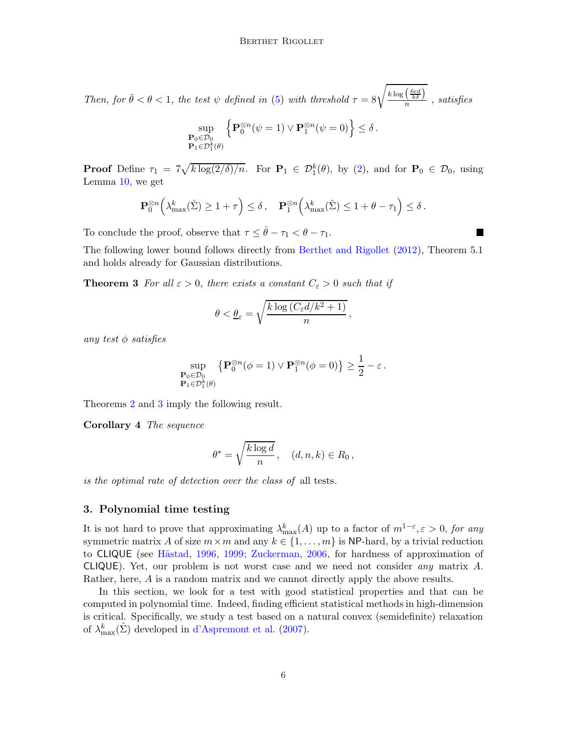Then, for  $\bar{\theta} < \theta < 1$ , the test  $\psi$  defined in [\(5\)](#page-4-1) with threshold  $\tau = 8\sqrt{\frac{k \log (\frac{6ed}{\hbar})}{n}}$  $\frac{\sqrt{k\delta}l}{n}$  , satisfies

$$
\sup_{\substack{\mathbf{P}_0 \in \mathcal{D}_0 \\ \mathbf{P}_1 \in \mathcal{D}_1^k(\theta)}} \left\{ \mathbf{P}_0^{\otimes n}(\psi = 1) \vee \mathbf{P}_1^{\otimes n}(\psi = 0) \right\} \le \delta.
$$

**Proof** Define  $\tau_1 = 7\sqrt{k \log(2/\delta)/n}$ . For  $\mathbf{P}_1 \in \mathcal{D}_1^k(\theta)$ , by [\(2\)](#page-3-1), and for  $\mathbf{P}_0 \in \mathcal{D}_0$ , using Lemma [10,](#page-16-0) we get

$$
\mathbf{P}_0^{\otimes n}\Big(\lambda_{\max}^k(\hat{\Sigma}) \ge 1 + \tau\Big) \le \delta\,, \quad \mathbf{P}_1^{\otimes n}\Big(\lambda_{\max}^k(\hat{\Sigma}) \le 1 + \theta - \tau_1\Big) \le \delta\,.
$$

П

To conclude the proof, observe that  $\tau \leq \bar{\theta} - \tau_1 < \theta - \tau_1$ .

The following lower bound follows directly from [Berthet and Rigollet](#page-13-2) [\(2012\)](#page-13-2), Theorem 5.1 and holds already for Gaussian distributions.

**Theorem 3** For all  $\varepsilon > 0$ , there exists a constant  $C_{\varepsilon} > 0$  such that if

<span id="page-5-1"></span>
$$
\theta < \underline{\theta}_{\varepsilon} = \sqrt{\frac{k \log \left( C_{\varepsilon} d / k^2 + 1 \right)}{n}},
$$

any test  $\phi$  satisfies

$$
\sup_{\substack{\mathbf{P}_0 \in \mathcal{D}_0 \\ \mathbf{P}_1 \in \mathcal{D}_1^k(\theta)}} \left\{ \mathbf{P}_0^{\otimes n}(\phi = 1) \vee \mathbf{P}_1^{\otimes n}(\phi = 0) \right\} \ge \frac{1}{2} - \varepsilon.
$$

Theorems [2](#page-4-2) and [3](#page-5-1) imply the following result.

Corollary 4 The sequence

<span id="page-5-2"></span>
$$
\theta^* = \sqrt{\frac{k \log d}{n}}, \quad (d, n, k) \in R_0,
$$

is the optimal rate of detection over the class of all tests.

## <span id="page-5-0"></span>3. Polynomial time testing

It is not hard to prove that approximating  $\lambda_{\max}^k(A)$  up to a factor of  $m^{1-\epsilon}, \epsilon > 0$ , for any symmetric matrix A of size  $m \times m$  and any  $k \in \{1, \ldots, m\}$  is NP-hard, by a trivial reduction to CLIQUE (see Håstad, [1996,](#page-14-4) [1999](#page-14-5); [Zuckerman,](#page-15-4) [2006](#page-15-4), for hardness of approximation of CLIQUE). Yet, our problem is not worst case and we need not consider any matrix A. Rather, here, A is a random matrix and we cannot directly apply the above results.

In this section, we look for a test with good statistical properties and that can be computed in polynomial time. Indeed, finding efficient statistical methods in high-dimension is critical. Specifically, we study a test based on a natural convex (semidefinite) relaxation of  $\lambda_{\max}^k(\hat{\Sigma})$  developed in [d'Aspremont et al.](#page-13-4) [\(2007](#page-13-4)).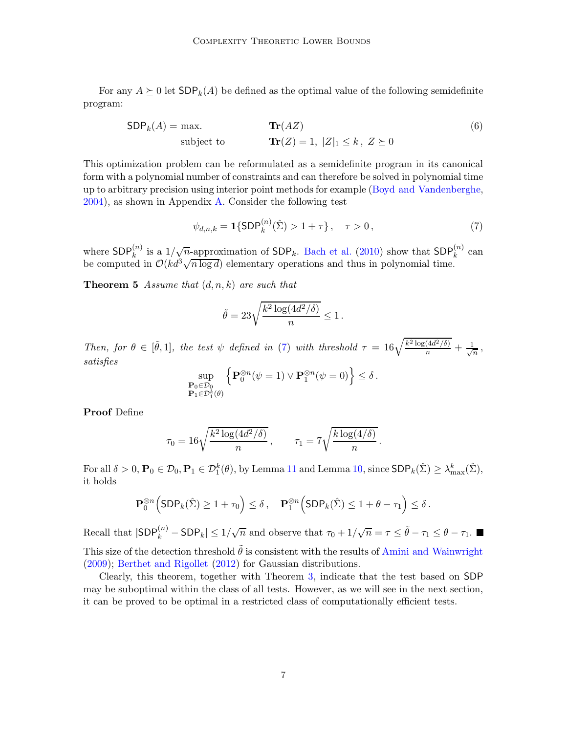For any  $A \succeq 0$  let  $SDP_k(A)$  be defined as the optimal value of the following semidefinite program:

$$
SDPk(A) = \max.
$$
  
subject to 
$$
Tr(Z) = 1, |Z|1 \le k, Z \ge 0
$$
 (6)

This optimization problem can be reformulated as a semidefinite program in its canonical form with a polynomial number of constraints and can therefore be solved in polynomial time up to arbitrary precision using interior point methods for example [\(Boyd and Vandenberghe](#page-13-7), [2004\)](#page-13-7), as shown in Appendix [A.](#page-16-1) Consider the following test

<span id="page-6-2"></span><span id="page-6-0"></span>
$$
\psi_{d,n,k} = \mathbf{1}\{\textsf{SDP}_k^{(n)}(\hat{\Sigma}) > 1 + \tau\}, \quad \tau > 0\,,\tag{7}
$$

where  $SDP_k^{(n)}$  is a  $1/\sqrt{n}$ -approximation of  $SDP_k$ . [Bach et al.](#page-13-8) [\(2010\)](#page-13-8) show that  $SDP_k^{(n)}$  can be computed in  $\mathcal{O}(kd^3\sqrt{n\log d})$  elementary operations and thus in polynomial time.

**Theorem 5** Assume that  $(d, n, k)$  are such that

<span id="page-6-1"></span>
$$
\tilde{\theta} = 23 \sqrt{\frac{k^2 \log(4d^2/\delta)}{n}} \leq 1 \,.
$$

Then, for  $\theta \in [\tilde{\theta},1]$ , the test  $\psi$  defined in [\(7\)](#page-6-0) with threshold  $\tau = 16\sqrt{\frac{k^2 \log(4d^2/\delta)}{n}} + \frac{1}{\sqrt{\delta}}$  $\frac{1}{n}$  , satisfies

$$
\sup_{\substack{\mathbf{P}_0 \in \mathcal{D}_0 \\ \mathbf{P}_1 \in \mathcal{D}_1^k(\theta)}} \left\{ \mathbf{P}_0^{\otimes n}(\psi = 1) \vee \mathbf{P}_1^{\otimes n}(\psi = 0) \right\} \le \delta.
$$

Proof Define

$$
\tau_0 = 16\sqrt{\frac{k^2 \log(4d^2/\delta)}{n}}, \qquad \tau_1 = 7\sqrt{\frac{k \log(4/\delta)}{n}}.
$$

For all  $\delta > 0$ ,  $\mathbf{P}_0 \in \mathcal{D}_0$ ,  $\mathbf{P}_1 \in \mathcal{D}_1^k(\theta)$ , by Lemma [11](#page-17-0) and Lemma [10,](#page-16-0) since  $\text{SDP}_k(\hat{\Sigma}) \geq \lambda_{\max}^k(\hat{\Sigma})$ , it holds

$$
\mathbf{P}_0^{\otimes n}\Big(\textsf{SDP}_k(\hat{\Sigma}) \ge 1 + \tau_0\Big) \le \delta\,, \quad \mathbf{P}_1^{\otimes n}\Big(\textsf{SDP}_k(\hat{\Sigma}) \le 1 + \theta - \tau_1\Big) \le \delta\,.
$$

Recall that  $|\textsf{SDP}_k^{(n)} - \textsf{SDP}_k| \leq 1/\sqrt{n}$  and observe that  $\tau_0 + 1/\sqrt{n} = \tau \leq \tilde{\theta} - \tau_1 \leq \theta - \tau_1$ . This size of the detection threshold  $\tilde{\theta}$  is consistent with the results of [Amini and Wainwright](#page-12-6) [\(2009](#page-12-6)); [Berthet and Rigollet](#page-13-2) [\(2012\)](#page-13-2) for Gaussian distributions.

Clearly, this theorem, together with Theorem [3,](#page-5-1) indicate that the test based on SDP may be suboptimal within the class of all tests. However, as we will see in the next section, it can be proved to be optimal in a restricted class of computationally efficient tests.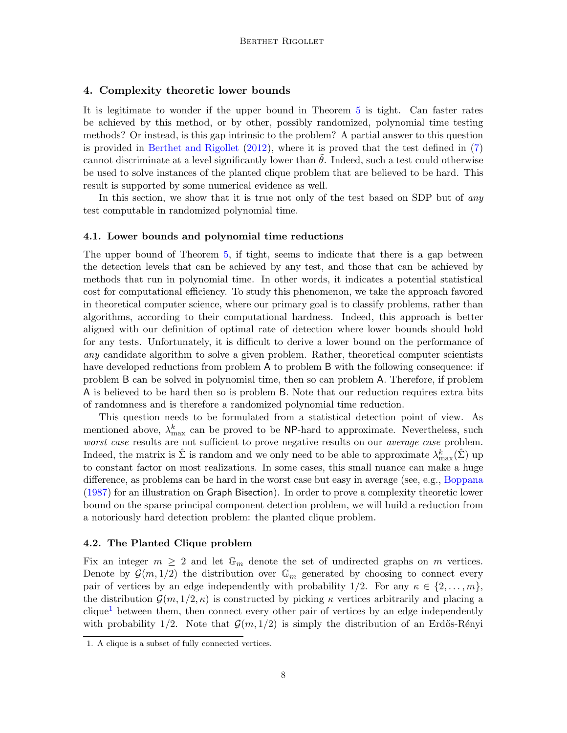#### <span id="page-7-0"></span>4. Complexity theoretic lower bounds

It is legitimate to wonder if the upper bound in Theorem [5](#page-6-1) is tight. Can faster rates be achieved by this method, or by other, possibly randomized, polynomial time testing methods? Or instead, is this gap intrinsic to the problem? A partial answer to this question is provided in [Berthet and Rigollet](#page-13-2) [\(2012](#page-13-2)), where it is proved that the test defined in [\(7\)](#page-6-0) cannot discriminate at a level significantly lower than  $\theta$ . Indeed, such a test could otherwise be used to solve instances of the planted clique problem that are believed to be hard. This result is supported by some numerical evidence as well.

In this section, we show that it is true not only of the test based on SDP but of any test computable in randomized polynomial time.

#### 4.1. Lower bounds and polynomial time reductions

The upper bound of Theorem [5,](#page-6-1) if tight, seems to indicate that there is a gap between the detection levels that can be achieved by any test, and those that can be achieved by methods that run in polynomial time. In other words, it indicates a potential statistical cost for computational efficiency. To study this phenomenon, we take the approach favored in theoretical computer science, where our primary goal is to classify problems, rather than algorithms, according to their computational hardness. Indeed, this approach is better aligned with our definition of optimal rate of detection where lower bounds should hold for any tests. Unfortunately, it is difficult to derive a lower bound on the performance of any candidate algorithm to solve a given problem. Rather, theoretical computer scientists have developed reductions from problem A to problem B with the following consequence: if problem B can be solved in polynomial time, then so can problem A. Therefore, if problem A is believed to be hard then so is problem B. Note that our reduction requires extra bits of randomness and is therefore a randomized polynomial time reduction.

This question needs to be formulated from a statistical detection point of view. As mentioned above,  $\lambda_{\max}^k$  can be proved to be NP-hard to approximate. Nevertheless, such worst case results are not sufficient to prove negative results on our average case problem. Indeed, the matrix is  $\hat{\Sigma}$  is random and we only need to be able to approximate  $\lambda_{\max}^k(\hat{\Sigma})$  up to constant factor on most realizations. In some cases, this small nuance can make a huge difference, as problems can be hard in the worst case but easy in average (see, e.g., [Boppana](#page-13-9) [\(1987](#page-13-9)) for an illustration on Graph Bisection). In order to prove a complexity theoretic lower bound on the sparse principal component detection problem, we will build a reduction from a notoriously hard detection problem: the planted clique problem.

#### 4.2. The Planted Clique problem

Fix an integer  $m \geq 2$  and let  $\mathbb{G}_m$  denote the set of undirected graphs on m vertices. Denote by  $\mathcal{G}(m, 1/2)$  the distribution over  $\mathbb{G}_m$  generated by choosing to connect every pair of vertices by an edge independently with probability  $1/2$ . For any  $\kappa \in \{2, \ldots, m\}$ , the distribution  $\mathcal{G}(m, 1/2, \kappa)$  is constructed by picking  $\kappa$  vertices arbitrarily and placing a  $clique<sup>1</sup> between them, then connect every other pair of vertices by an edge independently$  $clique<sup>1</sup> between them, then connect every other pair of vertices by an edge independently$  $clique<sup>1</sup> between them, then connect every other pair of vertices by an edge independently$ with probability  $1/2$ . Note that  $\mathcal{G}(m, 1/2)$  is simply the distribution of an Erdős-Rényi

<span id="page-7-1"></span><sup>1.</sup> A clique is a subset of fully connected vertices.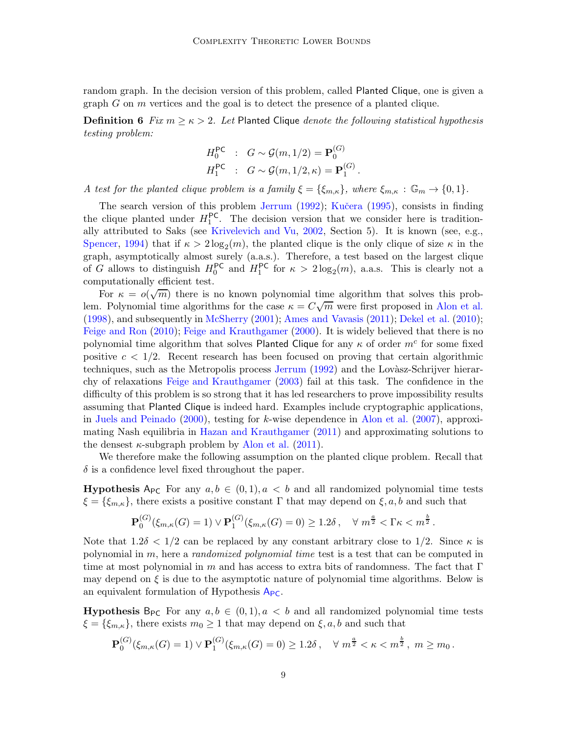random graph. In the decision version of this problem, called Planted Clique, one is given a graph  $G$  on  $m$  vertices and the goal is to detect the presence of a planted clique.

**Definition 6** Fix  $m \geq \kappa > 2$ . Let Planted Clique *denote the following statistical hypothesis* testing problem:

<span id="page-8-0"></span>
$$
H_0^{\mathsf{PC}} : G \sim \mathcal{G}(m, 1/2) = \mathbf{P}_0^{(G)}
$$
  

$$
H_1^{\mathsf{PC}} : G \sim \mathcal{G}(m, 1/2, \kappa) = \mathbf{P}_1^{(G)}.
$$

A test for the planted clique problem is a family  $\xi = {\xi_{m,\kappa}}$ , where  $\xi_{m,\kappa} : \mathbb{G}_m \to \{0,1\}$ .

The search version of this problem [Jerrum](#page-14-6) [\(1992](#page-14-6)); Kučera [\(1995](#page-14-7)), consists in finding the clique planted under  $H_1^{PC}$ . The decision version that we consider here is traditionally attributed to Saks (see [Krivelevich and Vu,](#page-14-8) [2002](#page-14-8), Section 5). It is known (see, e.g., [Spencer](#page-15-5), [1994](#page-15-5)) that if  $\kappa > 2\log_2(m)$ , the planted clique is the only clique of size  $\kappa$  in the graph, asymptotically almost surely (a.a.s.). Therefore, a test based on the largest clique of G allows to distinguish  $H_0^{\text{PC}}$  and  $H_1^{\text{PC}}$  for  $\kappa > 2\log_2(m)$ , a.a.s. This is clearly not a computationally efficient test.

For  $\kappa = o(\sqrt{m})$  there is no known polynomial time algorithm that solves this problem. Polynomial time algorithms for the case  $\kappa = C\sqrt{m}$  were first proposed in [Alon et al.](#page-12-7) [\(1998](#page-12-7)), and subsequently in [McSherry](#page-14-9) [\(2001\)](#page-14-9); [Ames and Vavasis](#page-12-8) [\(2011](#page-12-8)); [Dekel et al.](#page-13-10) [\(2010](#page-13-10)); [Feige and Ron](#page-14-10) [\(2010\)](#page-14-10); [Feige and Krauthgamer](#page-13-11) [\(2000](#page-13-11)). It is widely believed that there is no polynomial time algorithm that solves Planted Clique for any  $\kappa$  of order  $m^c$  for some fixed positive  $c < 1/2$ . Recent research has been focused on proving that certain algorithmic techniques, such as the Metropolis process [Jerrum](#page-14-6) [\(1992](#page-14-6)) and the Lovasz-Schrijver hierarchy of relaxations [Feige and Krauthgamer](#page-13-12) [\(2003](#page-13-12)) fail at this task. The confidence in the difficulty of this problem is so strong that it has led researchers to prove impossibility results assuming that Planted Clique is indeed hard. Examples include cryptographic applications, in [Juels and Peinado](#page-14-11) [\(2000\)](#page-14-11), testing for k-wise dependence in [Alon et al.](#page-12-9) [\(2007](#page-12-9)), approximating Nash equilibria in [Hazan and Krauthgamer](#page-14-12) [\(2011](#page-14-12)) and approximating solutions to the densest  $\kappa$ -subgraph problem by [Alon et al.](#page-12-10) [\(2011](#page-12-10)).

We therefore make the following assumption on the planted clique problem. Recall that  $\delta$  is a confidence level fixed throughout the paper.

**Hypothesis** A<sub>PC</sub> For any  $a, b \in (0, 1), a < b$  and all randomized polynomial time tests  $\xi = \{\xi_{m,\kappa}\}\,$ , there exists a positive constant  $\Gamma$  that may depend on  $\xi, a, b$  and such that

$$
\mathbf{P}_0^{(G)}(\xi_{m,\kappa}(G) = 1) \vee \mathbf{P}_1^{(G)}(\xi_{m,\kappa}(G) = 0) \ge 1.2\delta \,, \quad \forall \, m^{\frac{a}{2}} < \Gamma \kappa < m^{\frac{b}{2}}.
$$

Note that  $1.2\delta < 1/2$  can be replaced by any constant arbitrary close to 1/2. Since  $\kappa$  is polynomial in m, here a randomized polynomial time test is a test that can be computed in time at most polynomial in m and has access to extra bits of randomness. The fact that  $\Gamma$ may depend on  $\xi$  is due to the asymptotic nature of polynomial time algorithms. Below is an equivalent formulation of Hypothesis  $A_{PC}$  $A_{PC}$  $A_{PC}$ .

**Hypothesis** B<sub>PC</sub> For any  $a, b \in (0, 1), a < b$  and all randomized polynomial time tests  $\xi = {\xi_{m,\kappa}}$ , there exists  $m_0 \geq 1$  that may depend on  $\xi, a, b$  and such that

$$
\mathbf{P}_0^{(G)}(\xi_{m,\kappa}(G) = 1) \vee \mathbf{P}_1^{(G)}(\xi_{m,\kappa}(G) = 0) \ge 1.2\delta \,, \quad \forall \; m^{\frac{a}{2}} < \kappa < m^{\frac{b}{2}} \,, \; m \ge m_0 \,.
$$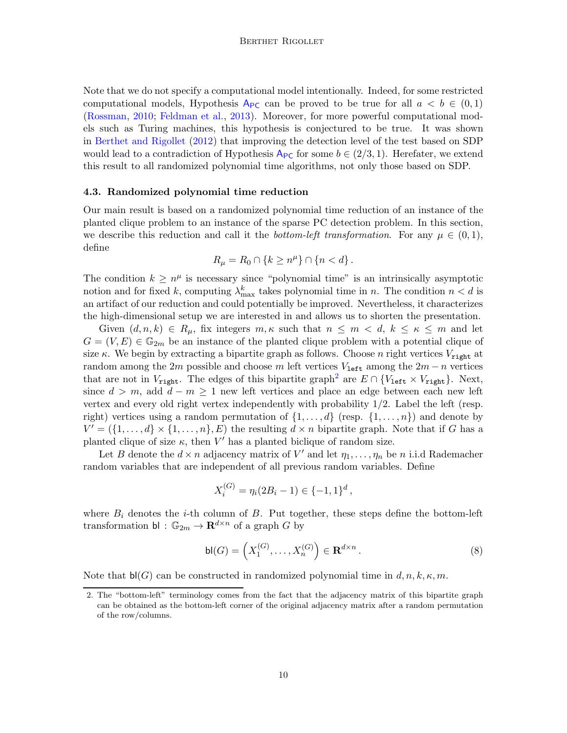Note that we do not specify a computational model intentionally. Indeed, for some restricted computational models, Hypothesis  $A_{PC}$  $A_{PC}$  $A_{PC}$  can be proved to be true for all  $a < b \in (0,1)$ [\(Rossman,](#page-15-6) [2010;](#page-15-6) [Feldman et al.](#page-14-13), [2013](#page-14-13)). Moreover, for more powerful computational models such as Turing machines, this hypothesis is conjectured to be true. It was shown in [Berthet and Rigollet](#page-13-2) [\(2012](#page-13-2)) that improving the detection level of the test based on SDP would lead to a contradiction of Hypothesis  $A_{PC}$  $A_{PC}$  $A_{PC}$  for some  $b \in (2/3, 1)$ . Herefater, we extend this result to all randomized polynomial time algorithms, not only those based on SDP.

#### 4.3. Randomized polynomial time reduction

Our main result is based on a randomized polynomial time reduction of an instance of the planted clique problem to an instance of the sparse PC detection problem. In this section, we describe this reduction and call it the *bottom-left transformation*. For any  $\mu \in (0, 1)$ , define

$$
R_{\mu}=R_0\cap\{k\geq n^{\mu}\}\cap\{n
$$

The condition  $k \geq n^{\mu}$  is necessary since "polynomial time" is an intrinsically asymptotic notion and for fixed k, computing  $\lambda_{\max}^k$  takes polynomial time in n. The condition  $n < d$  is an artifact of our reduction and could potentially be improved. Nevertheless, it characterizes the high-dimensional setup we are interested in and allows us to shorten the presentation.

Given  $(d, n, k) \in R_\mu$ , fix integers  $m, \kappa$  such that  $n \leq m < d, k \leq \kappa \leq m$  and let  $G = (V, E) \in \mathbb{G}_{2m}$  be an instance of the planted clique problem with a potential clique of size κ. We begin by extracting a bipartite graph as follows. Choose n right vertices  $V_{\text{right}}$  at random among the 2m possible and choose m left vertices  $V_{\text{left}}$  among the 2m – n vertices that are not in  $V_{\text{right}}$ . The edges of this bipartite graph<sup>[2](#page-9-0)</sup> are  $E \cap \{V_{\text{left}} \times V_{\text{right}}\}$ . Next, since  $d > m$ , add  $d - m \ge 1$  new left vertices and place an edge between each new left vertex and every old right vertex independently with probability 1/2. Label the left (resp. right) vertices using a random permutation of  $\{1, \ldots, d\}$  (resp.  $\{1, \ldots, n\}$ ) and denote by  $V' = (\{1, \ldots, d\} \times \{1, \ldots, n\}, E)$  the resulting  $d \times n$  bipartite graph. Note that if G has a planted clique of size  $\kappa$ , then V' has a planted biclique of random size.

Let B denote the  $d \times n$  adjacency matrix of V' and let  $\eta_1, \ldots, \eta_n$  be n i.i.d Rademacher random variables that are independent of all previous random variables. Define

$$
X_i^{(G)} = \eta_i(2B_i - 1) \in \{-1, 1\}^d,
$$

where  $B_i$  denotes the *i*-th column of  $B$ . Put together, these steps define the bottom-left transformation bl :  $\mathbb{G}_{2m} \to \mathbf{R}^{d \times n}$  of a graph G by

<span id="page-9-1"></span>
$$
\mathsf{bl}(G) = \left(X_1^{(G)}, \dots, X_n^{(G)}\right) \in \mathbf{R}^{d \times n} \,. \tag{8}
$$

Note that  $\mathsf{bl}(G)$  can be constructed in randomized polynomial time in  $d, n, k, \kappa, m$ .

<span id="page-9-0"></span><sup>2.</sup> The "bottom-left" terminology comes from the fact that the adjacency matrix of this bipartite graph can be obtained as the bottom-left corner of the original adjacency matrix after a random permutation of the row/columns.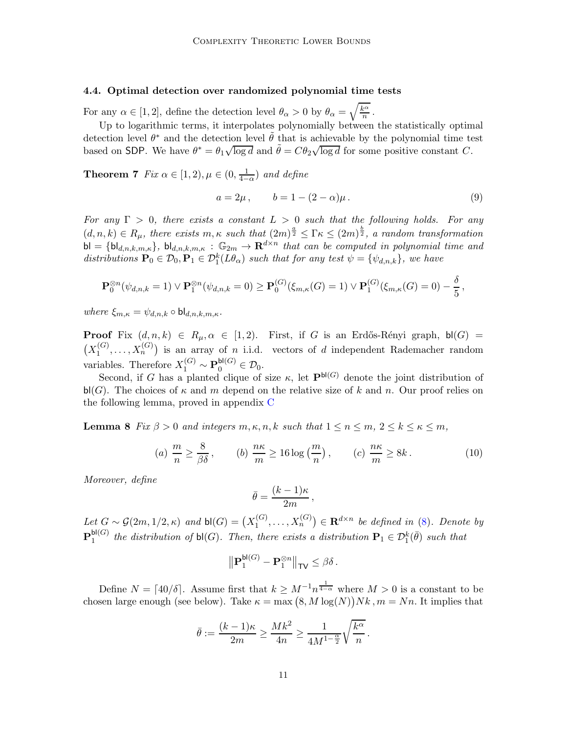#### 4.4. Optimal detection over randomized polynomial time tests

For any  $\alpha \in [1, 2]$ , define the detection level  $\theta_{\alpha} > 0$  by  $\theta_{\alpha} = \sqrt{\frac{k^{\alpha}}{n}}$  $\frac{x^{\alpha}}{n}$ .

Up to logarithmic terms, it interpolates polynomially between the statistically optimal detection level  $\theta^*$  and the detection level  $\tilde{\theta}$  that is achievable by the polynomial time test based on SDP. We have  $\theta^* = \theta_1 \sqrt{\log d}$  and  $\tilde{\theta} = C \theta_2 \sqrt{\log d}$  for some positive constant C.

<span id="page-10-2"></span>**Theorem 7** *Fix*  $\alpha \in [1, 2), \mu \in (0, \frac{1}{4 - 1})$  $\frac{1}{4-\alpha}$ ) and define

<span id="page-10-3"></span>
$$
a = 2\mu, \t b = 1 - (2 - \alpha)\mu.
$$
\t(9)

For any  $\Gamma > 0$ , there exists a constant  $L > 0$  such that the following holds. For any  $(d, n, k) \in R_\mu$ , there exists  $m, \kappa$  such that  $(2m)^{\frac{a}{2}} \leq \Gamma \kappa \leq (2m)^{\frac{b}{2}}$ , a random transformation  $\mathsf{bl} = \{\mathsf{bl}_{d,n,k,m,\kappa}\},\ \mathsf{bl}_{d,n,k,m,\kappa}\,:\,\mathbb{G}_{2m} \to \mathbf{R}^{d \times n}$  that can be computed in polynomial time and distributions  $\mathbf{P}_0 \in \mathcal{D}_0$ ,  $\mathbf{P}_1 \in \mathcal{D}_1^k(L\theta_\alpha)$  such that for any test  $\psi = {\psi_{d,n,k}}$ , we have

$$
\mathbf{P}_0^{\otimes n}(\psi_{d,n,k}=1) \vee \mathbf{P}_1^{\otimes n}(\psi_{d,n,k}=0) \geq \mathbf{P}_0^{(G)}(\xi_{m,\kappa}(G)=1) \vee \mathbf{P}_1^{(G)}(\xi_{m,\kappa}(G)=0) - \frac{\delta}{5},
$$

where  $\xi_{m,\kappa} = \psi_{d,n,k} \circ \mathsf{bl}_{d,n,k,m,\kappa}$ .

**Proof** Fix  $(d, n, k) \in R_\mu, \alpha \in [1, 2)$ . First, if G is an Erdős-Rényi graph, bl $(G)$  =  $(X_1^{(G)}$  $\mathcal{X}_1^{(G)}, \ldots, \mathcal{X}_n^{(G)}$  is an array of *n* i.i.d. vectors of *d* independent Rademacher random variables. Therefore  $X_1^{(G)} \sim \mathbf{P}_0^{\mathsf{bl}(G)} \in \mathcal{D}_0$ .

Second, if G has a planted clique of size  $\kappa$ , let  $\mathbf{P}^{bl(G)}$  denote the joint distribution of  $\mathsf{bl}(G)$ . The choices of  $\kappa$  and m depend on the relative size of k and n. Our proof relies on the following lemma, proved in appendix [C](#page-18-0)

<span id="page-10-1"></span>**Lemma 8** Fix  $\beta > 0$  and integers  $m, \kappa, n, k$  such that  $1 \leq n \leq m$ ,  $2 \leq k \leq \kappa \leq m$ ,

<span id="page-10-0"></span>(a) 
$$
\frac{m}{n} \ge \frac{8}{\beta \delta}
$$
, (b)  $\frac{n\kappa}{m} \ge 16 \log\left(\frac{m}{n}\right)$ , (c)  $\frac{n\kappa}{m} \ge 8k$ . (10)

Moreover, define

$$
\bar{\theta} = \frac{(k-1)\kappa}{2m} \,,
$$

Let  $G \sim \mathcal{G}(2m, 1/2, \kappa)$  and  $\mathsf{bl}(G) = (X_1^{(G)})$  $\mathcal{X}_1^{(G)}, \ldots, \mathcal{X}_n^{(G)}$   $\in \mathbf{R}^{d \times n}$  be defined in [\(8\)](#page-9-1). Denote by  ${\bf P}^{{\sf bl}(G)}_1$  $\mathsf{b}^{(G)}$  the distribution of  $\mathsf{bl}(G)$ . Then, there exists a distribution  $\mathbf{P}_1 \in \mathcal{D}_1^k(\bar{\theta})$  such that

$$
\big\| \mathbf{P}_1^{\mathsf{bl}(G)} - \mathbf{P}_1^{\otimes n} \big\|_{\mathsf{TV}} \leq \beta \delta \,.
$$

Define  $N = \lceil 40/\delta \rceil$ . Assume first that  $k \geq M^{-1} n^{\frac{1}{4-\alpha}}$  where  $M > 0$  is a constant to be chosen large enough (see below). Take  $\kappa = \max(8, M \log(N))Nk$ ,  $m = Nn$ . It implies that

$$
\bar{\theta}:=\frac{(k-1)\kappa}{2m}\geq \frac{Mk^2}{4n}\geq \frac{1}{4M^{1-\frac{\alpha}{2}}}\sqrt{\frac{k^\alpha}{n}}\,.
$$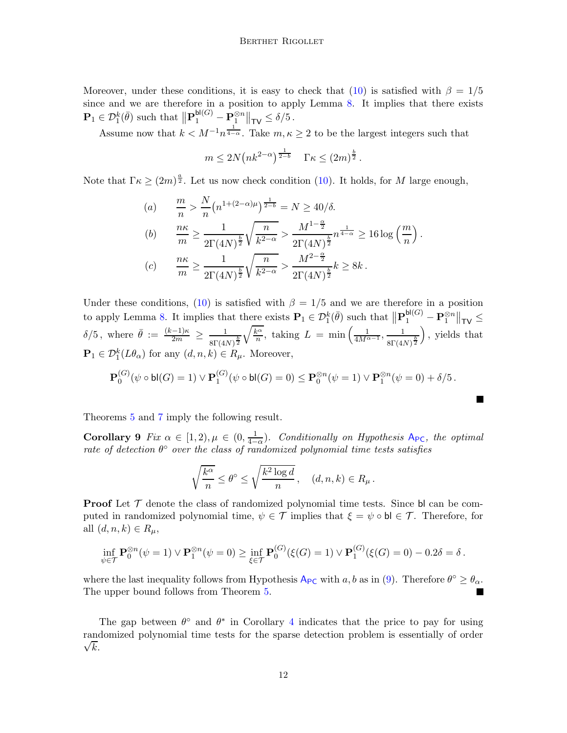Moreover, under these conditions, it is easy to check that [\(10\)](#page-10-0) is satisfied with  $\beta = 1/5$ since and we are therefore in a position to apply Lemma [8.](#page-10-1) It implies that there exists  $\mathbf{P}_1 \in \mathcal{D}_1^k(\bar{\theta})$  such that  $\left\Vert \mathbf{P}_1^{\text{bl}(G)} - \mathbf{P}_1^{\otimes n} \right\Vert_{\text{TV}} \le \delta/5$ .

Assume now that  $k < M^{-1}n^{\frac{1}{4-\alpha}}$ . Take  $m, \kappa \geq 2$  to be the largest integers such that

$$
m \le 2N(nk^{2-\alpha})^{\frac{1}{2-b}} \quad \Gamma \kappa \le (2m)^{\frac{b}{2}}.
$$

Note that  $\Gamma \kappa \geq (2m)^{\frac{a}{2}}$ . Let us now check condition [\(10\)](#page-10-0). It holds, for M large enough,

(a) 
$$
\frac{m}{n} > \frac{N}{n} (n^{1+(2-\alpha)\mu})^{\frac{1}{2-b}} = N \ge 40/\delta.
$$
  
\n(b) 
$$
\frac{n\kappa}{m} \ge \frac{1}{2\Gamma(4N)^{\frac{b}{2}}} \sqrt{\frac{n}{k^{2-\alpha}}} > \frac{M^{1-\frac{\alpha}{2}}}{2\Gamma(4N)^{\frac{b}{2}}} n^{\frac{1}{4-\alpha}} \ge 16 \log\left(\frac{m}{n}\right).
$$
  
\n(c) 
$$
\frac{n\kappa}{m} \ge \frac{1}{2\Gamma(4N)^{\frac{b}{2}}} \sqrt{\frac{n}{k^{2-\alpha}}} > \frac{M^{2-\frac{\alpha}{2}}}{2\Gamma(4N)^{\frac{b}{2}}} k \ge 8k.
$$

Under these conditions, [\(10\)](#page-10-0) is satisfied with  $\beta = 1/5$  and we are therefore in a position to apply Lemma [8.](#page-10-1) It implies that there exists  $\mathbf{P}_1 \in \mathcal{D}_1^k(\bar{\theta})$  such that  $\|\mathbf{P}_1^{\text{bl}(G)} - \mathbf{P}_1^{\otimes n}\|_{\mathsf{TV}} \leq$  $\delta/5$ , where  $\bar{\theta} := \frac{(k-1)\kappa}{2m} \geq \frac{1}{s\Gamma(4)}$  $8\Gamma(4N)^{\frac{b}{2}}$  $\sqrt{k^{\alpha}}$  $\frac{1}{n^{\alpha}}$ , taking  $L = \min\left(\frac{1}{4M^{\alpha-1}}, \frac{1}{8\Gamma(A)}\right)$  $8\Gamma(4N)^{\frac{b}{2}}$  , yields that  $\mathbf{P}_1 \in \mathcal{D}_1^k(L\theta_\alpha)$  for any  $(d, n, k) \in R_\mu$ . Moreover,

$$
\mathbf{P}_0^{(G)}(\psi \circ \mathsf{bl}(G) = 1) \vee \mathbf{P}_1^{(G)}(\psi \circ \mathsf{bl}(G) = 0) \leq \mathbf{P}_0^{\otimes n}(\psi = 1) \vee \mathbf{P}_1^{\otimes n}(\psi = 0) + \delta/5.
$$

Ш

Theorems [5](#page-6-1) and [7](#page-10-2) imply the following result.

Corollary 9  $Fix \alpha \in [1,2), \mu \in (0, \frac{1}{4-1})$  $\frac{1}{4-\alpha}$ ). Conditionally on Hypothesis A<sub>[PC](#page-8-0)</sub>, the optimal rate of detection  $\theta^{\circ}$  over the class of randomized polynomial time tests satisfies

$$
\sqrt{\frac{k^{\alpha}}{n}} \leq \theta^{\circ} \leq \sqrt{\frac{k^2 \log d}{n}}, \quad (d, n, k) \in R_{\mu}.
$$

**Proof** Let  $\mathcal T$  denote the class of randomized polynomial time tests. Since be computed in randomized polynomial time,  $\psi \in \mathcal{T}$  implies that  $\xi = \psi \circ \mathsf{bl} \in \mathcal{T}$ . Therefore, for all  $(d, n, k) \in R_\mu$ ,

$$
\inf_{\psi \in \mathcal{T}} \mathbf{P}_0^{\otimes n}(\psi = 1) \vee \mathbf{P}_1^{\otimes n}(\psi = 0) \ge \inf_{\xi \in \mathcal{T}} \mathbf{P}_0^{(G)}(\xi(G) = 1) \vee \mathbf{P}_1^{(G)}(\xi(G) = 0) - 0.2\delta = \delta.
$$

where the last inequality follows from Hypothesis  $A_{PC}$  $A_{PC}$  $A_{PC}$  with  $a, b$  as in [\(9\)](#page-10-3). Therefore  $\theta^{\circ} \ge \theta_{\alpha}$ . The upper bound follows from Theorem [5.](#page-6-1)

The gap between  $\theta^{\circ}$  and  $\theta^*$  in Corollary [4](#page-5-2) indicates that the price to pay for using randomized polynomial time tests for the sparse detection p roblem is essentially of order  $\sqrt{k}$ .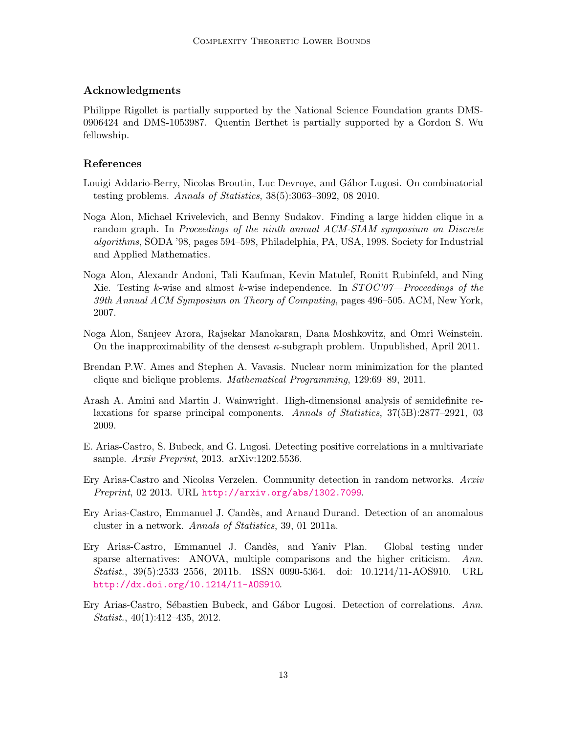#### Acknowledgments

Philippe Rigollet is partially supported by the National Science Foundation grants DMS-0906424 and DMS-1053987. Quentin Berthet is partially supported by a Gordon S. Wu fellowship.

#### References

- <span id="page-12-0"></span>Louigi Addario-Berry, Nicolas Broutin, Luc Devroye, and Gábor Lugosi. On combinatorial testing problems. Annals of Statistics, 38(5):3063–3092, 08 2010.
- <span id="page-12-7"></span>Noga Alon, Michael Krivelevich, and Benny Sudakov. Finding a large hidden clique in a random graph. In Proceedings of the ninth annual ACM-SIAM symposium on Discrete algorithms, SODA '98, pages 594–598, Philadelphia, PA, USA, 1998. Society for Industrial and Applied Mathematics.
- <span id="page-12-9"></span>Noga Alon, Alexandr Andoni, Tali Kaufman, Kevin Matulef, Ronitt Rubinfeld, and Ning Xie. Testing k-wise and almost k-wise independence. In  $STOC'07$ —Proceedings of the 39th Annual ACM Symposium on Theory of Computing, pages 496–505. ACM, New York, 2007.
- <span id="page-12-10"></span>Noga Alon, Sanjeev Arora, Rajsekar Manokaran, Dana Moshkovitz, and Omri Weinstein. On the inapproximability of the densest  $\kappa$ -subgraph problem. Unpublished, April 2011.
- <span id="page-12-8"></span>Brendan P.W. Ames and Stephen A. Vavasis. Nuclear norm minimization for the planted clique and biclique problems. Mathematical Programming, 129:69–89, 2011.
- <span id="page-12-6"></span>Arash A. Amini and Martin J. Wainwright. High-dimensional analysis of semidefinite relaxations for sparse principal components. Annals of Statistics, 37(5B):2877–2921, 03 2009.
- <span id="page-12-5"></span>E. Arias-Castro, S. Bubeck, and G. Lugosi. Detecting positive correlations in a multivariate sample. Arxiv Preprint, 2013. arXiv:1202.5536.
- <span id="page-12-3"></span>Ery Arias-Castro and Nicolas Verzelen. Community detection in random networks. Arxiv Preprint, 02 2013. URL <http://arxiv.org/abs/1302.7099>.
- <span id="page-12-1"></span>Ery Arias-Castro, Emmanuel J. Cand`es, and Arnaud Durand. Detection of an anomalous cluster in a network. Annals of Statistics, 39, 01 2011a.
- <span id="page-12-2"></span>Ery Arias-Castro, Emmanuel J. Cand`es, and Yaniv Plan. Global testing under sparse alternatives: ANOVA, multiple comparisons and the higher criticism. Ann. Statist., 39(5):2533–2556, 2011b. ISSN 0090-5364. doi: 10.1214/11-AOS910. URL <http://dx.doi.org/10.1214/11-AOS910>.
- <span id="page-12-4"></span>Ery Arias-Castro, Sébastien Bubeck, and Gábor Lugosi. Detection of correlations. Ann. Statist., 40(1):412–435, 2012.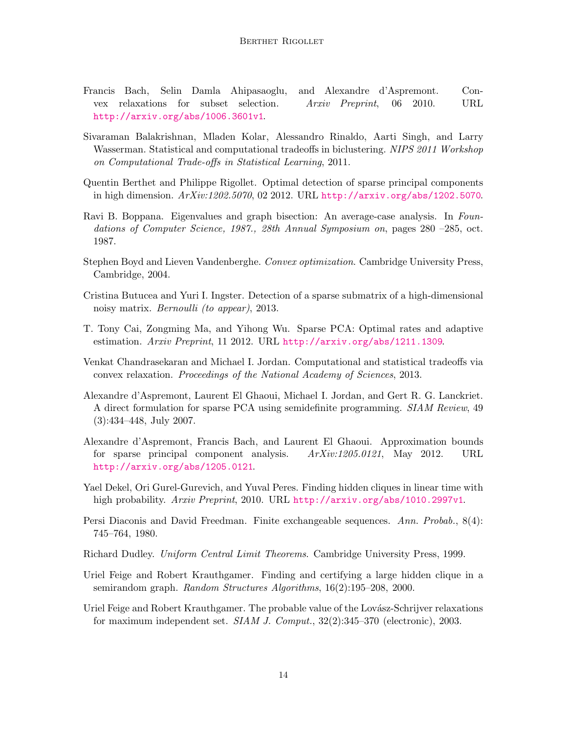- <span id="page-13-8"></span>Francis Bach, Selin Damla Ahipasaoglu, and Alexandre d'Aspremont. Convex relaxations for subset selection. Arxiv Preprint, 06 2010. URL <http://arxiv.org/abs/1006.3601v1>.
- <span id="page-13-1"></span>Sivaraman Balakrishnan, Mladen Kolar, Alessandro Rinaldo, Aarti Singh, and Larry Wasserman. Statistical and computational tradeoffs in biclustering. NIPS 2011 Workshop on Computational Trade-offs in Statistical Learning, 2011.
- <span id="page-13-2"></span>Quentin Berthet and Philippe Rigollet. Optimal detection of sparse principal components in high dimension. ArXiv:1202.5070, 02 2012. URL <http://arxiv.org/abs/1202.5070>.
- <span id="page-13-9"></span>Ravi B. Boppana. Eigenvalues and graph bisection: An average-case analysis. In Foundations of Computer Science, 1987., 28th Annual Symposium on, pages 280 –285, oct. 1987.
- <span id="page-13-7"></span>Stephen Boyd and Lieven Vandenberghe. Convex optimization. Cambridge University Press, Cambridge, 2004.
- <span id="page-13-0"></span>Cristina Butucea and Yuri I. Ingster. Detection of a sparse submatrix of a high-dimensional noisy matrix. Bernoulli (to appear), 2013.
- <span id="page-13-3"></span>T. Tony Cai, Zongming Ma, and Yihong Wu. Sparse PCA: Optimal rates and adaptive estimation. Arxiv Preprint, 11 2012. URL <http://arxiv.org/abs/1211.1309>.
- <span id="page-13-6"></span>Venkat Chandrasekaran and Michael I. Jordan. Computational and statistical tradeoffs via convex relaxation. Proceedings of the National Academy of Sciences, 2013.
- <span id="page-13-4"></span>Alexandre d'Aspremont, Laurent El Ghaoui, Michael I. Jordan, and Gert R. G. Lanckriet. A direct formulation for sparse PCA using semidefinite programming. SIAM Review, 49 (3):434–448, July 2007.
- <span id="page-13-5"></span>Alexandre d'Aspremont, Francis Bach, and Laurent El Ghaoui. Approximation bounds for sparse principal component analysis. ArXiv:1205.0121, May 2012. URL <http://arxiv.org/abs/1205.0121>.
- <span id="page-13-10"></span>Yael Dekel, Ori Gurel-Gurevich, and Yuval Peres. Finding hidden cliques in linear time with high probability. Arxiv Preprint, 2010. URL <http://arxiv.org/abs/1010.2997v1>.
- <span id="page-13-13"></span>Persi Diaconis and David Freedman. Finite exchangeable sequences. Ann. Probab., 8(4): 745–764, 1980.
- <span id="page-13-14"></span>Richard Dudley. Uniform Central Limit Theorems. Cambridge University Press, 1999.
- <span id="page-13-11"></span>Uriel Feige and Robert Krauthgamer. Finding and certifying a large hidden clique in a semirandom graph. Random Structures Algorithms, 16(2):195–208, 2000.
- <span id="page-13-12"></span>Uriel Feige and Robert Krauthgamer. The probable value of the Lovász-Schrijver relaxations for maximum independent set. SIAM J. Comput., 32(2):345–370 (electronic), 2003.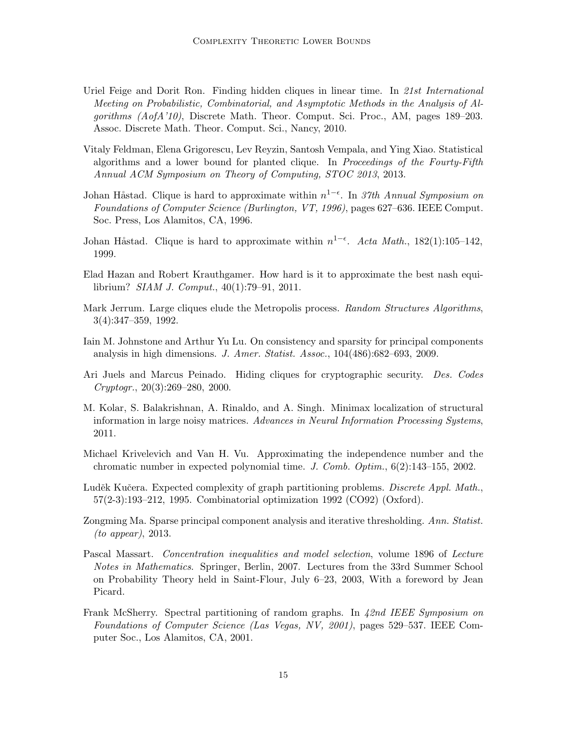- <span id="page-14-10"></span>Uriel Feige and Dorit Ron. Finding hidden cliques in linear time. In 21st International Meeting on Probabilistic, Combinatorial, and Asymptotic Methods in the Analysis of Algorithms (AofA'10), Discrete Math. Theor. Comput. Sci. Proc., AM, pages 189–203. Assoc. Discrete Math. Theor. Comput. Sci., Nancy, 2010.
- <span id="page-14-13"></span>Vitaly Feldman, Elena Grigorescu, Lev Reyzin, Santosh Vempala, and Ying Xiao. Statistical algorithms and a lower bound for planted clique. In Proceedings of the Fourty-Fifth Annual ACM Symposium on Theory of Computing, STOC 2013, 2013.
- <span id="page-14-4"></span>Johan Håstad. Clique is hard to approximate within  $n^{1-\epsilon}$ . In 37th Annual Symposium on Foundations of Computer Science (Burlington, VT, 1996), pages 627–636. IEEE Comput. Soc. Press, Los Alamitos, CA, 1996.
- <span id="page-14-5"></span>Johan Håstad. Clique is hard to approximate within  $n^{1-\epsilon}$ . Acta Math., 182(1):105–142, 1999.
- <span id="page-14-12"></span>Elad Hazan and Robert Krauthgamer. How hard is it to approximate the best nash equilibrium? SIAM J. Comput., 40(1):79–91, 2011.
- <span id="page-14-6"></span>Mark Jerrum. Large cliques elude the Metropolis process. Random Structures Algorithms, 3(4):347–359, 1992.
- <span id="page-14-1"></span>Iain M. Johnstone and Arthur Yu Lu. On consistency and sparsity for principal components analysis in high dimensions. J. Amer. Statist. Assoc., 104(486):682–693, 2009.
- <span id="page-14-11"></span>Ari Juels and Marcus Peinado. Hiding cliques for cryptographic security. Des. Codes Cryptogr., 20(3):269–280, 2000.
- <span id="page-14-0"></span>M. Kolar, S. Balakrishnan, A. Rinaldo, and A. Singh. Minimax localization of structural information in large noisy matrices. Advances in Neural Information Processing Systems, 2011.
- <span id="page-14-8"></span>Michael Krivelevich and Van H. Vu. Approximating the independence number and the chromatic number in expected polynomial time. J. Comb. Optim., 6(2):143–155, 2002.
- <span id="page-14-7"></span>Luděk Kučera. Expected complexity of graph partitioning problems. Discrete Appl. Math., 57(2-3):193–212, 1995. Combinatorial optimization 1992 (CO92) (Oxford).
- <span id="page-14-2"></span>Zongming Ma. Sparse principal component analysis and iterative thresholding. Ann. Statist. (to appear), 2013.
- <span id="page-14-3"></span>Pascal Massart. Concentration inequalities and model selection, volume 1896 of Lecture Notes in Mathematics. Springer, Berlin, 2007. Lectures from the 33rd Summer School on Probability Theory held in Saint-Flour, July 6–23, 2003, With a foreword by Jean Picard.
- <span id="page-14-9"></span>Frank McSherry. Spectral partitioning of random graphs. In 42nd IEEE Symposium on Foundations of Computer Science (Las Vegas, NV, 2001), pages 529–537. IEEE Computer Soc., Los Alamitos, CA, 2001.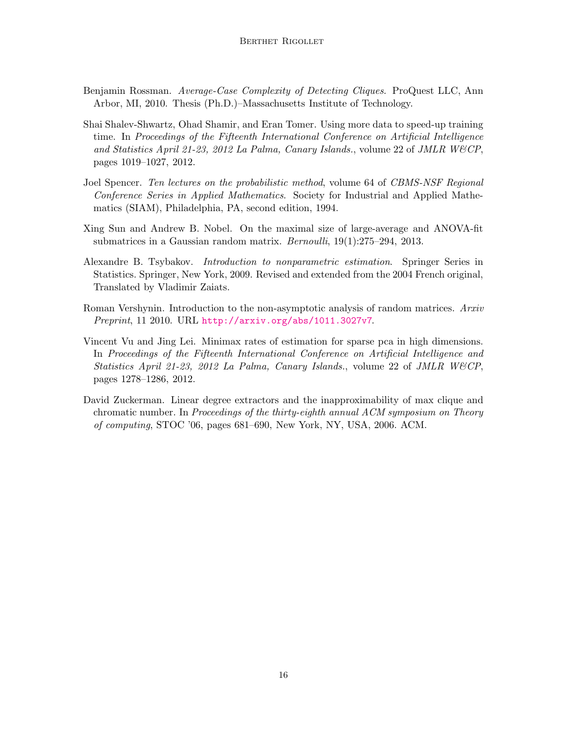- <span id="page-15-6"></span>Benjamin Rossman. Average-Case Complexity of Detecting Cliques. ProQuest LLC, Ann Arbor, MI, 2010. Thesis (Ph.D.)–Massachusetts Institute of Technology.
- <span id="page-15-1"></span>Shai Shalev-Shwartz, Ohad Shamir, and Eran Tomer. Using more data to speed-up training time. In Proceedings of the Fifteenth International Conference on Artificial Intelligence and Statistics April 21-23, 2012 La Palma, Canary Islands., volume 22 of JMLR W&CP, pages 1019–1027, 2012.
- <span id="page-15-5"></span>Joel Spencer. Ten lectures on the probabilistic method, volume 64 of CBMS-NSF Regional Conference Series in Applied Mathematics. Society for Industrial and Applied Mathematics (SIAM), Philadelphia, PA, second edition, 1994.
- <span id="page-15-0"></span>Xing Sun and Andrew B. Nobel. On the maximal size of large-average and ANOVA-fit submatrices in a Gaussian random matrix. Bernoulli, 19(1):275–294, 2013.
- <span id="page-15-3"></span>Alexandre B. Tsybakov. Introduction to nonparametric estimation. Springer Series in Statistics. Springer, New York, 2009. Revised and extended from the 2004 French original, Translated by Vladimir Zaiats.
- <span id="page-15-7"></span>Roman Vershynin. Introduction to the non-asymptotic analysis of random matrices. Arxiv Preprint, 11 2010. URL <http://arxiv.org/abs/1011.3027v7>.
- <span id="page-15-2"></span>Vincent Vu and Jing Lei. Minimax rates of estimation for sparse pca in high dimensions. In Proceedings of the Fifteenth International Conference on Artificial Intelligence and Statistics April 21-23, 2012 La Palma, Canary Islands., volume 22 of JMLR W&CP, pages 1278–1286, 2012.
- <span id="page-15-4"></span>David Zuckerman. Linear degree extractors and the inapproximability of max clique and chromatic number. In Proceedings of the thirty-eighth annual ACM symposium on Theory of computing, STOC '06, pages 681–690, New York, NY, USA, 2006. ACM.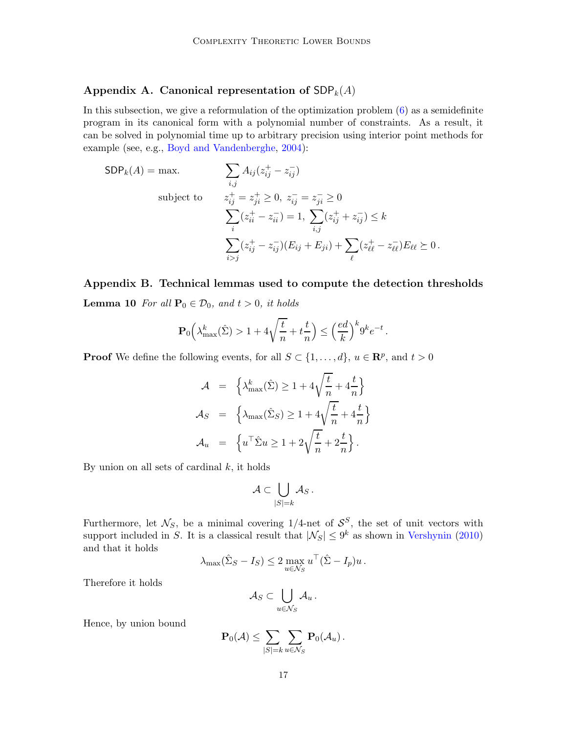## <span id="page-16-1"></span>Appendix A. Canonical representation of  $SDP_k(A)$

In this subsection, we give a reformulation of the optimization problem [\(6\)](#page-6-2) as a semidefinite program in its canonical form with a polynomial number of constraints. As a result, it can be solved in polynomial time up to arbitrary precision using interior point methods for example (see, e.g., [Boyd and Vandenberghe](#page-13-7), [2004](#page-13-7)):

$$
SDP_k(A) = \max. \qquad \sum_{i,j} A_{ij} (z_{ij}^+ - z_{ij}^-)
$$
  
subject to 
$$
z_{ij}^+ = z_{ji}^+ \ge 0, \ z_{ij}^- = z_{ji}^- \ge 0
$$

$$
\sum_i (z_{ii}^+ - z_{ii}^-) = 1, \ \sum_{i,j} (z_{ij}^+ + z_{ij}^-) \le k
$$

$$
\sum_{i>j} (z_{ij}^+ - z_{ij}^-)(E_{ij} + E_{ji}) + \sum_{\ell} (z_{\ell\ell}^+ - z_{\ell\ell}^-)E_{\ell\ell} \ge 0.
$$

<span id="page-16-0"></span>Appendix B. Technical lemmas used to compute the detection thresholds **Lemma 10** For all  $\mathbf{P}_0 \in \mathcal{D}_0$ , and  $t > 0$ , it holds

$$
\mathbf{P}_0\Big(\lambda_{\max}^k(\hat{\Sigma}) > 1 + 4\sqrt{\frac{t}{n}} + t\frac{t}{n}\Big) \leq \Big(\frac{ed}{k}\Big)^k 9^k e^{-t}\,.
$$

**Proof** We define the following events, for all  $S \subset \{1, ..., d\}$ ,  $u \in \mathbb{R}^p$ , and  $t > 0$ 

$$
\mathcal{A} = \left\{ \lambda_{\max}^k(\hat{\Sigma}) \ge 1 + 4\sqrt{\frac{t}{n}} + 4\frac{t}{n} \right\}
$$

$$
\mathcal{A}_S = \left\{ \lambda_{\max}(\hat{\Sigma}_S) \ge 1 + 4\sqrt{\frac{t}{n}} + 4\frac{t}{n} \right\}
$$

$$
\mathcal{A}_u = \left\{ u^\top \hat{\Sigma} u \ge 1 + 2\sqrt{\frac{t}{n}} + 2\frac{t}{n} \right\}.
$$

By union on all sets of cardinal  $k$ , it holds

$$
\mathcal{A} \subset \bigcup_{|S|=k} \mathcal{A}_S.
$$

Furthermore, let  $\mathcal{N}_S$ , be a minimal covering 1/4-net of  $\mathcal{S}_S^S$ , the set of unit vectors with support included in S. It is a classical result that  $|\mathcal{N}_S| \leq 9^k$  as shown in [Vershynin](#page-15-7) [\(2010](#page-15-7)) and that it holds

$$
\lambda_{\max}(\hat{\Sigma}_S - I_S) \le 2 \max_{u \in \mathcal{N}_S} u^\top (\hat{\Sigma} - I_p) u.
$$

Therefore it holds

$$
\mathcal{A}_S \subset \bigcup_{u \in \mathcal{N}_S} \mathcal{A}_u \,.
$$

Hence, by union bound

$$
\mathbf{P}_0(\mathcal{A}) \leq \sum_{|S|=k} \sum_{u \in \mathcal{N}_S} \mathbf{P}_0(\mathcal{A}_u).
$$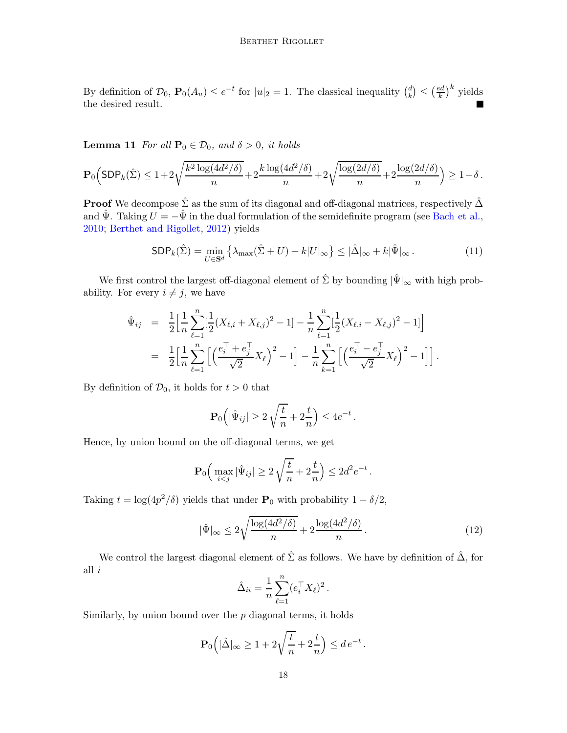By definition of  $\mathcal{D}_0$ ,  $\mathbf{P}_0(A_u) \leq e^{-t}$  for  $|u|_2 = 1$ . The classical inequality  $\binom{d}{k}$  $\binom{d}{k} \leq \left(\frac{ed}{k}\right)$  $(\frac{e}{k})^k$  yields the desired result.

<span id="page-17-0"></span>**Lemma 11** For all  $\mathbf{P}_0 \in \mathcal{D}_0$ , and  $\delta > 0$ , it holds

$$
\mathbf{P}_0\Big( \textsf{SDP}_k(\hat{\Sigma}) \leq 1 + 2\sqrt{\frac{k^2\log(4d^2/\delta)}{n}} + 2\frac{k\log(4d^2/\delta)}{n} + 2\sqrt{\frac{\log(2d/\delta)}{n}} + 2\frac{\log(2d/\delta)}{n} \Big) \geq 1 - \delta \,.
$$

**Proof** We decompose  $\hat{\Sigma}$  as the sum of its diagonal and off-diagonal matrices, respectively  $\hat{\Delta}$ and  $\hat{\Psi}$ . Taking  $U = -\hat{\Psi}$  in the dual formulation of the semidefinite program (see [Bach et al.](#page-13-8), [2010;](#page-13-8) [Berthet and Rigollet](#page-13-2), [2012](#page-13-2)) yields

<span id="page-17-2"></span>
$$
\text{SDP}_k(\hat{\Sigma}) = \min_{U \in \mathbf{S}^d} \left\{ \lambda_{\max}(\hat{\Sigma} + U) + k|U|_{\infty} \right\} \leq |\hat{\Delta}|_{\infty} + k|\hat{\Psi}|_{\infty}.
$$
 (11)

We first control the largest off-diagonal element of  $\hat{\Sigma}$  by bounding  $|\hat{\Psi}|_{\infty}$  with high probability. For every  $i \neq j$ , we have

$$
\hat{\Psi}_{ij} = \frac{1}{2} \Big[ \frac{1}{n} \sum_{\ell=1}^n \Big[ \frac{1}{2} (X_{\ell,i} + X_{\ell,j})^2 - 1 \Big] - \frac{1}{n} \sum_{\ell=1}^n \Big[ \frac{1}{2} (X_{\ell,i} - X_{\ell,j})^2 - 1 \Big] \Big] \n= \frac{1}{2} \Big[ \frac{1}{n} \sum_{\ell=1}^n \Big[ \Big( \frac{e_i^{\top} + e_j^{\top}}{\sqrt{2}} X_{\ell} \Big)^2 - 1 \Big] - \frac{1}{n} \sum_{k=1}^n \Big[ \Big( \frac{e_i^{\top} - e_j^{\top}}{\sqrt{2}} X_{\ell} \Big)^2 - 1 \Big] \Big].
$$

By definition of  $\mathcal{D}_0$ , it holds for  $t > 0$  that

$$
\mathbf{P}_0\left(|\hat{\Psi}_{ij}|\geq 2\sqrt{\frac{t}{n}}+2\frac{t}{n}\right)\leq 4e^{-t}.
$$

Hence, by union bound on the off-diagonal terms, we get

$$
\mathbf{P}_0\Big(\max_{i
$$

Taking  $t = \log(4p^2/\delta)$  yields that under  $P_0$  with probability  $1 - \delta/2$ ,

<span id="page-17-1"></span>
$$
|\hat{\Psi}|_{\infty} \le 2\sqrt{\frac{\log(4d^2/\delta)}{n}} + 2\frac{\log(4d^2/\delta)}{n}.
$$
\n(12)

We control the largest diagonal element of  $\hat{\Sigma}$  as follows. We have by definition of  $\hat{\Delta}$ , for all  $i$ 

$$
\hat{\Delta}_{ii} = \frac{1}{n} \sum_{\ell=1}^n (e_i^\top X_\ell)^2.
$$

Similarly, by union bound over the  $p$  diagonal terms, it holds

$$
\mathbf{P}_0\Big(|\hat{\Delta}|_\infty \geq 1 + 2\sqrt{\frac{t}{n}} + 2\frac{t}{n}\Big) \leq de^{-t}.
$$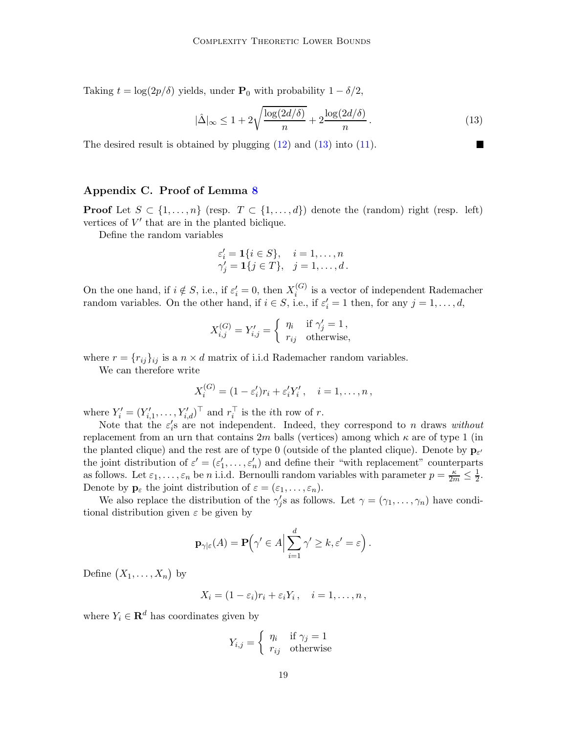Taking  $t = \log(2p/\delta)$  yields, under  $P_0$  with probability  $1 - \delta/2$ ,

<span id="page-18-1"></span>
$$
|\hat{\Delta}|_{\infty} \le 1 + 2\sqrt{\frac{\log(2d/\delta)}{n}} + 2\frac{\log(2d/\delta)}{n}.
$$
 (13)

The desired result is obtained by plugging  $(12)$  and  $(13)$  into  $(11)$ .

## <span id="page-18-0"></span>Appendix C. Proof of Lemma [8](#page-10-1)

**Proof** Let  $S \subset \{1, ..., n\}$  (resp.  $T \subset \{1, ..., d\}$ ) denote the (random) right (resp. left) vertices of  $V'$  that are in the planted biclique.

Define the random variables

$$
\varepsilon_i' = \mathbf{1}\{i \in S\}, \quad i = 1, \dots, n
$$
  

$$
\gamma_j' = \mathbf{1}\{j \in T\}, \quad j = 1, \dots, d.
$$

On the one hand, if  $i \notin S$ , i.e., if  $\varepsilon_i' = 0$ , then  $X_i^{(G)}$  $i_i^{(G)}$  is a vector of independent Rademacher random variables. On the other hand, if  $i \in S$ , i.e., if  $\varepsilon'_{i} = 1$  then, for any  $j = 1, ..., d$ ,

$$
X_{i,j}^{(G)} = Y'_{i,j} = \begin{cases} \eta_i & \text{if } \gamma'_j = 1, \\ r_{ij} & \text{otherwise,} \end{cases}
$$

where  $r = {r_{ij}}_{ij}$  is a  $n \times d$  matrix of i.i.d Rademacher random variables.

We can therefore write

$$
X_i^{(G)} = (1 - \varepsilon_i')r_i + \varepsilon_i' Y_i', \quad i = 1, \dots, n,
$$

where  $Y_i' = (Y_{i,1}', \ldots, Y_{i,d}')^{\top}$  and  $r_i^{\top}$  is the *i*th row of *r*.

Note that the  $\varepsilon_i$ 's are not independent. Indeed, they correspond to n draws without replacement from an urn that contains  $2m$  balls (vertices) among which  $\kappa$  are of type 1 (in the planted clique) and the rest are of type 0 (outside of the planted clique). Denote by  $\mathbf{p}_{\varepsilon}$ the joint distribution of  $\varepsilon' = (\varepsilon'_1, \ldots, \varepsilon'_n)$  and define their "with replacement" counterparts as follows. Let  $\varepsilon_1, \ldots, \varepsilon_n$  be n i.i.d. Bernoulli random variables with parameter  $p = \frac{\kappa}{2m} \le \frac{1}{2}$ . Denote by  $\mathbf{p}_{\varepsilon}$  the joint distribution of  $\varepsilon = (\varepsilon_1, \ldots, \varepsilon_n)$ .

We also replace the distribution of the  $\gamma'_j$ s as follows. Let  $\gamma = (\gamma_1, \ldots, \gamma_n)$  have conditional distribution given  $\varepsilon$  be given by

$$
\mathbf{p}_{\gamma|\varepsilon}(A) = \mathbf{P}\Big(\gamma' \in A \Big| \sum_{i=1}^d \gamma' \ge k, \varepsilon' = \varepsilon\Big).
$$

Define  $(X_1, \ldots, X_n)$  by

$$
X_i = (1 - \varepsilon_i) r_i + \varepsilon_i Y_i, \quad i = 1, \dots, n,
$$

where  $Y_i \in \mathbf{R}^d$  has coordinates given by

$$
Y_{i,j} = \begin{cases} \eta_i & \text{if } \gamma_j = 1\\ r_{ij} & \text{otherwise} \end{cases}
$$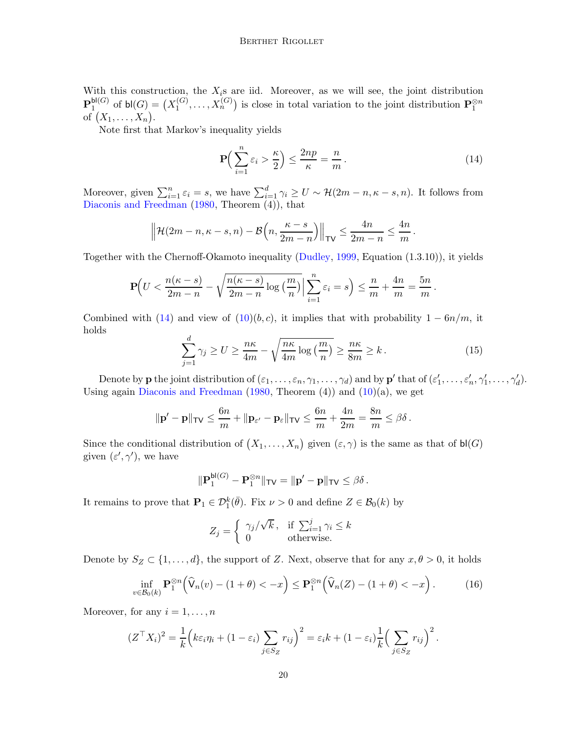With this construction, the  $X_i$ s are iid. Moreover, as we will see, the joint distribution  ${\bf P}^{{\sf bl}(G)}_1$  $_1^{\mathsf{bl}(G)}$  of  $\mathsf{bl}(G) = \big(X_1^{(G)}\big)$  $X_1^{(G)}, \ldots, X_n^{(G)}$  is close in total variation to the joint distribution  $\mathbf{P}_1^{\otimes n}$ of  $(X_1, \ldots, X_n)$ .

Note first that Markov's inequality yields

<span id="page-19-0"></span>
$$
\mathbf{P}\Big(\sum_{i=1}^{n}\varepsilon_{i} > \frac{\kappa}{2}\Big) \le \frac{2np}{\kappa} = \frac{n}{m}.
$$
\n(14)

Moreover, given  $\sum_{i=1}^n \varepsilon_i = s$ , we have  $\sum_{i=1}^d \gamma_i \ge U \sim \mathcal{H}(2m-n, \kappa-s, n)$ . It follows from [Diaconis and Freedman](#page-13-13) [\(1980,](#page-13-13) Theorem (4)), that

$$
\left\|\mathcal{H}(2m-n,\kappa-s,n)-\mathcal{B}\left(n,\frac{\kappa-s}{2m-n}\right)\right\|_{\sf TV}\leq\frac{4n}{2m-n}\leq\frac{4n}{m}.
$$

Together with the Chernoff-Okamoto inequality [\(Dudley](#page-13-14), [1999](#page-13-14), Equation (1.3.10)), it yields

$$
\mathbf{P}\Big(U < \frac{n(\kappa - s)}{2m - n} - \sqrt{\frac{n(\kappa - s)}{2m - n}\log\left(\frac{m}{n}\right)}\Big|\sum_{i=1}^n \varepsilon_i = s\Big) \le \frac{n}{m} + \frac{4n}{m} = \frac{5n}{m}.
$$

Combined with [\(14\)](#page-19-0) and view of  $(10)(b, c)$ , it implies that with probability  $1 - 6n/m$ , it holds

$$
\sum_{j=1}^{d} \gamma_j \ge U \ge \frac{n\kappa}{4m} - \sqrt{\frac{n\kappa}{4m} \log\left(\frac{m}{n}\right)} \ge \frac{n\kappa}{8m} \ge k. \tag{15}
$$

Denote by **p** the joint distribution of  $(\varepsilon_1,\ldots,\varepsilon_n,\gamma_1,\ldots,\gamma_d)$  and by **p**' that of  $(\varepsilon'_1,\ldots,\varepsilon'_n,\gamma'_1,\ldots,\gamma'_d)$ . Using again [Diaconis and Freedman](#page-13-13)  $(1980,$  $(1980,$  Theorem  $(4)$ ) and  $(10)(a)$ , we get

$$
\|\mathbf{p'}-\mathbf{p}\|_{\mathsf{TV}} \leq \frac{6n}{m} + \|\mathbf{p}_{\varepsilon'}-\mathbf{p}_{\varepsilon}\|_{\mathsf{TV}} \leq \frac{6n}{m} + \frac{4n}{2m} = \frac{8n}{m} \leq \beta\delta\,.
$$

Since the conditional distribution of  $(X_1, \ldots, X_n)$  given  $(\varepsilon, \gamma)$  is the same as that of  $\mathsf{bl}(G)$ given  $(\varepsilon', \gamma')$ , we have

$$
\|\mathbf{P}_1^{\mathsf{bl}(G)} - \mathbf{P}_1^{\otimes n}\|_{\mathsf{TV}} = \|\mathbf{p}' - \mathbf{p}\|_{\mathsf{TV}} \leq \beta\delta.
$$

It remains to prove that  $\mathbf{P}_1 \in \mathcal{D}_1^k(\bar{\theta})$ . Fix  $\nu > 0$  and define  $Z \in \mathcal{B}_0(k)$  by

$$
Z_j = \begin{cases} \gamma_j/\sqrt{k}, & \text{if } \sum_{i=1}^j \gamma_i \le k \\ 0 & \text{otherwise.} \end{cases}
$$

Denote by  $S_Z \subset \{1, \ldots, d\}$ , the support of Z. Next, observe that for any  $x, \theta > 0$ , it holds

<span id="page-19-1"></span>
$$
\inf_{v \in \mathcal{B}_0(k)} \mathbf{P}_1^{\otimes n} \left( \widehat{\mathsf{V}}_n(v) - (1+\theta) < -x \right) \le \mathbf{P}_1^{\otimes n} \left( \widehat{\mathsf{V}}_n(Z) - (1+\theta) < -x \right). \tag{16}
$$

Moreover, for any  $i = 1, \ldots, n$ 

$$
(Z^{\top} X_i)^2 = \frac{1}{k} \Big( k \varepsilon_i \eta_i + (1 - \varepsilon_i) \sum_{j \in S_Z} r_{ij} \Big)^2 = \varepsilon_i k + (1 - \varepsilon_i) \frac{1}{k} \Big( \sum_{j \in S_Z} r_{ij} \Big)^2.
$$